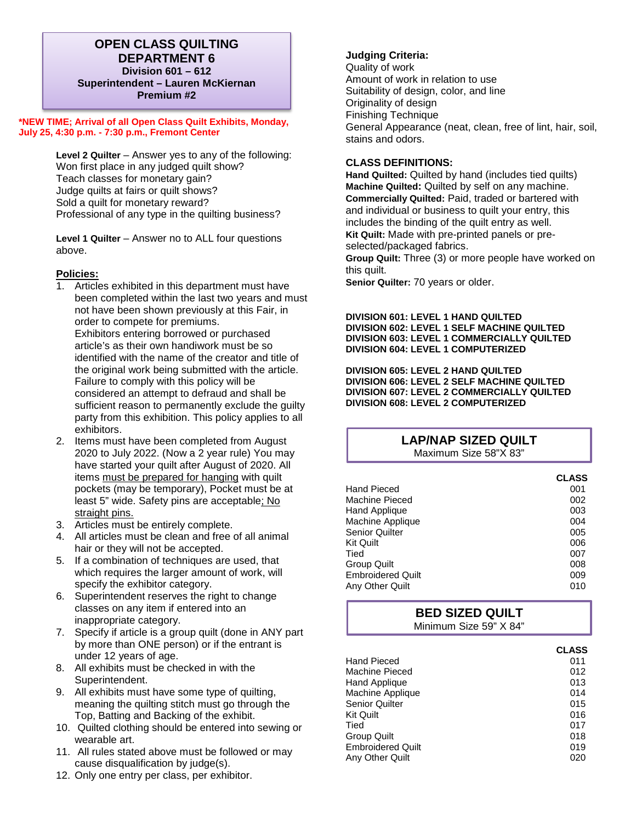## **OPEN CLASS QUILTING DEPARTMENT 6 Division 601 – 612 Superintendent – Lauren McKiernan Premium #2**

**\*NEW TIME; Arrival of all Open Class Quilt Exhibits, Monday, July 25, 4:30 p.m. - 7:30 p.m., Fremont Center** 

> **Level 2 Quilter** – Answer yes to any of the following: Won first place in any judged quilt show? Teach classes for monetary gain? Judge quilts at fairs or quilt shows? Sold a quilt for monetary reward? Professional of any type in the quilting business?

**Level 1 Quilter** – Answer no to ALL four questions above.

#### **Policies:**

- 1. Articles exhibited in this department must have been completed within the last two years and must not have been shown previously at this Fair, in order to compete for premiums. Exhibitors entering borrowed or purchased article's as their own handiwork must be so identified with the name of the creator and title of the original work being submitted with the article. Failure to comply with this policy will be considered an attempt to defraud and shall be sufficient reason to permanently exclude the guilty party from this exhibition. This policy applies to all exhibitors.
- 2. Items must have been completed from August 2020 to July 2022. (Now a 2 year rule) You may have started your quilt after August of 2020. All items must be prepared for hanging with quilt pockets (may be temporary), Pocket must be at least 5" wide. Safety pins are acceptable; No straight pins.
- 3. Articles must be entirely complete.
- 4. All articles must be clean and free of all animal hair or they will not be accepted.
- 5. If a combination of techniques are used, that which requires the larger amount of work, will specify the exhibitor category.
- 6. Superintendent reserves the right to change classes on any item if entered into an inappropriate category.
- 7. Specify if article is a group quilt (done in ANY part by more than ONE person) or if the entrant is under 12 years of age.
- 8. All exhibits must be checked in with the Superintendent.
- 9. All exhibits must have some type of quilting, meaning the quilting stitch must go through the Top, Batting and Backing of the exhibit.
- 10. Quilted clothing should be entered into sewing or wearable art.
- 11. All rules stated above must be followed or may cause disqualification by judge(s).
- 12. Only one entry per class, per exhibitor.

#### **Judging Criteria:**

Quality of work Amount of work in relation to use Suitability of design, color, and line Originality of design Finishing Technique General Appearance (neat, clean, free of lint, hair, soil, stains and odors.

#### **CLASS DEFINITIONS:**

**Hand Quilted:** Quilted by hand (includes tied quilts) **Machine Quilted:** Quilted by self on any machine. **Commercially Quilted:** Paid, traded or bartered with and individual or business to quilt your entry, this includes the binding of the quilt entry as well. **Kit Quilt:** Made with pre-printed panels or preselected/packaged fabrics. **Group Quilt:** Three (3) or more people have worked on this quilt.

**Senior Quilter:** 70 years or older.

**DIVISION 601: LEVEL 1 HAND QUILTED DIVISION 602: LEVEL 1 SELF MACHINE QUILTED DIVISION 603: LEVEL 1 COMMERCIALLY QUILTED DIVISION 604: LEVEL 1 COMPUTERIZED**

**DIVISION 605: LEVEL 2 HAND QUILTED DIVISION 606: LEVEL 2 SELF MACHINE QUILTED DIVISION 607: LEVEL 2 COMMERCIALLY QUILTED DIVISION 608: LEVEL 2 COMPUTERIZED**

#### **LAP/NAP SIZED QUILT** Maximum Size 58"X 83"

|                          | <b>CLASS</b> |
|--------------------------|--------------|
| Hand Pieced              | 001          |
| Machine Pieced           | 002          |
| Hand Applique            | 003          |
| Machine Applique         | 004          |
| <b>Senior Quilter</b>    | 005          |
| Kit Quilt                | 006          |
| Tied                     | 007          |
| <b>Group Quilt</b>       | 008          |
| <b>Embroidered Quilt</b> | 009          |
| Any Other Quilt          | 010          |

# **BED SIZED QUILT** Minimum Size 59" X 84"

|                          | <b>CLASS</b> |
|--------------------------|--------------|
| <b>Hand Pieced</b>       | 011          |
| Machine Pieced           | 012          |
| Hand Applique            | 013          |
| Machine Applique         | 014          |
| <b>Senior Quilter</b>    | 015          |
| <b>Kit Quilt</b>         | 016          |
| Tied                     | 017          |
| Group Quilt              | 018          |
| <b>Embroidered Quilt</b> | 019          |
| Any Other Quilt          | 020          |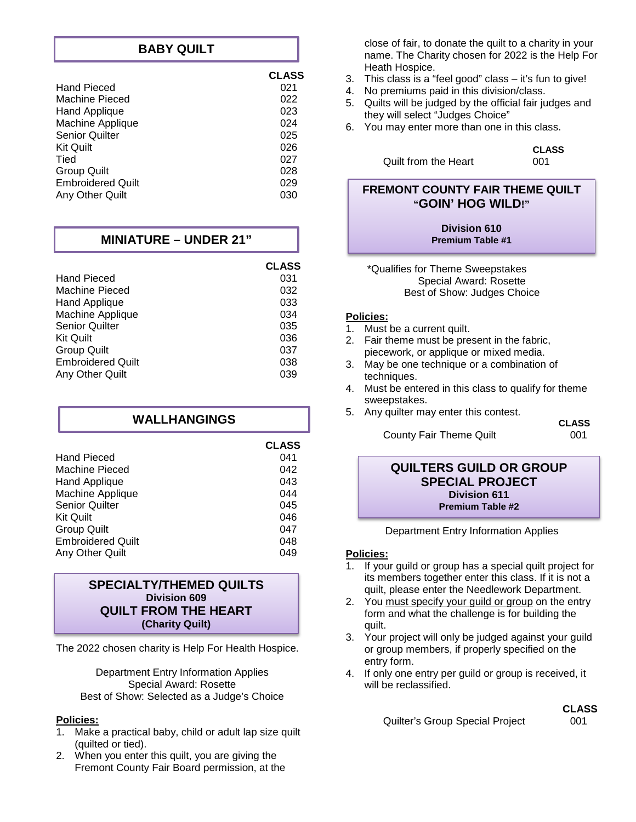## **BABY QUILT**

|                          | <b>CLASS</b> |
|--------------------------|--------------|
| <b>Hand Pieced</b>       | 021          |
| Machine Pieced           | 022          |
| <b>Hand Applique</b>     | 023          |
| Machine Applique         | 024          |
| <b>Senior Quilter</b>    | 025          |
| <b>Kit Quilt</b>         | 026          |
| Tied                     | 027          |
| <b>Group Quilt</b>       | 028          |
| <b>Embroidered Quilt</b> | 029          |
| Any Other Quilt          | 030          |

## **MINIATURE – UNDER 21"**

|                          | <b>CLASS</b> |
|--------------------------|--------------|
| Hand Pieced              | 031          |
| Machine Pieced           | 032          |
| Hand Applique            | 033          |
| Machine Applique         | 034          |
| Senior Quilter           | 035          |
| <b>Kit Quilt</b>         | 036          |
| <b>Group Quilt</b>       | 037          |
| <b>Embroidered Quilt</b> | 038          |
| Any Other Quilt          | 039          |

| <b>WALLHANGINGS</b>      |              |
|--------------------------|--------------|
|                          | <b>CLASS</b> |
| <b>Hand Pieced</b>       | 041          |
| Machine Pieced           | 042          |
| Hand Applique            | 043          |
| Machine Applique         | 044          |
| <b>Senior Quilter</b>    | 045          |
| <b>Kit Quilt</b>         | 046          |
| <b>Group Quilt</b>       | 047          |
| <b>Embroidered Quilt</b> | 048          |
| Any Other Quilt          | 049          |

#### **SPECIALTY/THEMED QUILTS Division 609 QUILT FROM THE HEART (Charity Quilt)**

The 2022 chosen charity is Help For Health Hospice.

Department Entry Information Applies Special Award: Rosette Best of Show: Selected as a Judge's Choice

#### **Policies:**

- 1. Make a practical baby, child or adult lap size quilt (quilted or tied).
- 2. When you enter this quilt, you are giving the Fremont County Fair Board permission, at the

close of fair, to donate the quilt to a charity in your name. The Charity chosen for 2022 is the Help For Heath Hospice.

- 3. This class is a "feel good" class it's fun to give!
- 4. No premiums paid in this division/class.
- 5. Quilts will be judged by the official fair judges and they will select "Judges Choice"
- 6. You may enter more than one in this class.

Quilt from the Heart 001

**CLASS** 

## **FREMONT COUNTY FAIR THEME QUILT "GOIN' HOG WILD!"**

**Division 610 Premium Table #1**

\*Qualifies for Theme Sweepstakes Special Award: Rosette Best of Show: Judges Choice

## **Policies:**

Ī

- 1. Must be a current quilt.
- 2. Fair theme must be present in the fabric, piecework, or applique or mixed media.
- 3. May be one technique or a combination of techniques.
- 4. Must be entered in this class to qualify for theme sweepstakes.
- 5. Any quilter may enter this contest. County Fair Theme Quilt

 **CLASS** 

#### **QUILTERS GUILD OR GROUP SPECIAL PROJECT Division 611 Premium Table #2**

#### Department Entry Information Applies

#### **Policies:**

- 1. If your guild or group has a special quilt project for its members together enter this class. If it is not a quilt, please enter the Needlework Department.
- 2. You must specify your guild or group on the entry form and what the challenge is for building the quilt.
- 3. Your project will only be judged against your guild or group members, if properly specified on the entry form.
- 4. If only one entry per guild or group is received, it will be reclassified.

# **CLASS**

Quilter's Group Special Project 001